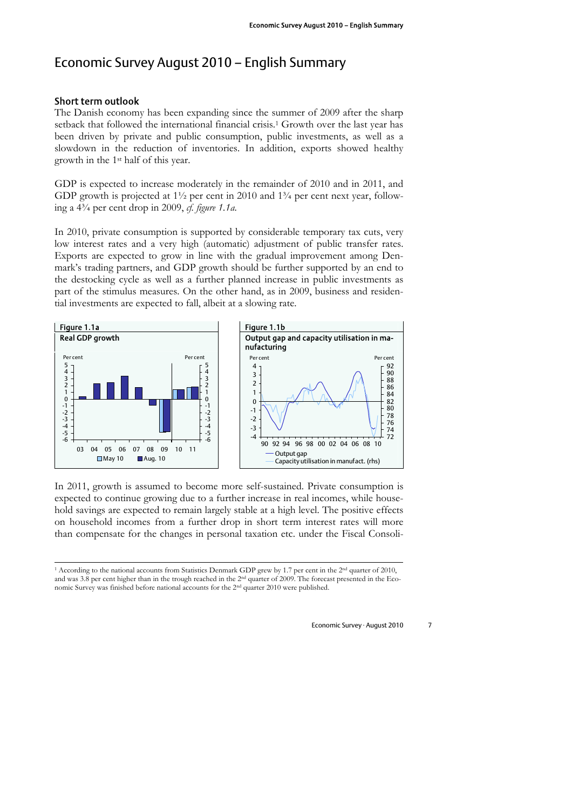# Economic Survey August 2010 – English Summary

# Short term outlook

The Danish economy has been expanding since the summer of 2009 after the sharp setback that followed the international financial crisis.[1](#page-0-0) Growth over the last year has been driven by private and public consumption, public investments, as well as a slowdown in the reduction of inventories. In addition, exports showed healthy growth in the 1st half of this year.

GDP is expected to increase moderately in the remainder of 2010 and in 2011, and GDP growth is projected at  $1\frac{1}{2}$  per cent in 2010 and  $1\frac{3}{4}$  per cent next year, following a 4¾ per cent drop in 2009, *cf. figure 1.1a*.

In 2010, private consumption is supported by considerable temporary tax cuts, very low interest rates and a very high (automatic) adjustment of public transfer rates. Exports are expected to grow in line with the gradual improvement among Denmark's trading partners, and GDP growth should be further supported by an end to the destocking cycle as well as a further planned increase in public investments as part of the stimulus measures. On the other hand, as in 2009, business and residential investments are expected to fall, albeit at a slowing rate.



In 2011, growth is assumed to become more self-sustained. Private consumption is expected to continue growing due to a further increase in real incomes, while household savings are expected to remain largely stable at a high level. The positive effects on household incomes from a further drop in short term interest rates will more than compensate for the changes in personal taxation etc. under the Fiscal Consoli-

<span id="page-0-0"></span> $\overline{a}$ 1 According to the national accounts from Statistics Denmark GDP grew by 1.7 per cent in the 2nd quarter of 2010, and was 3.8 per cent higher than in the trough reached in the 2nd quarter of 2009. The forecast presented in the Economic Survey was finished before national accounts for the 2nd quarter 2010 were published.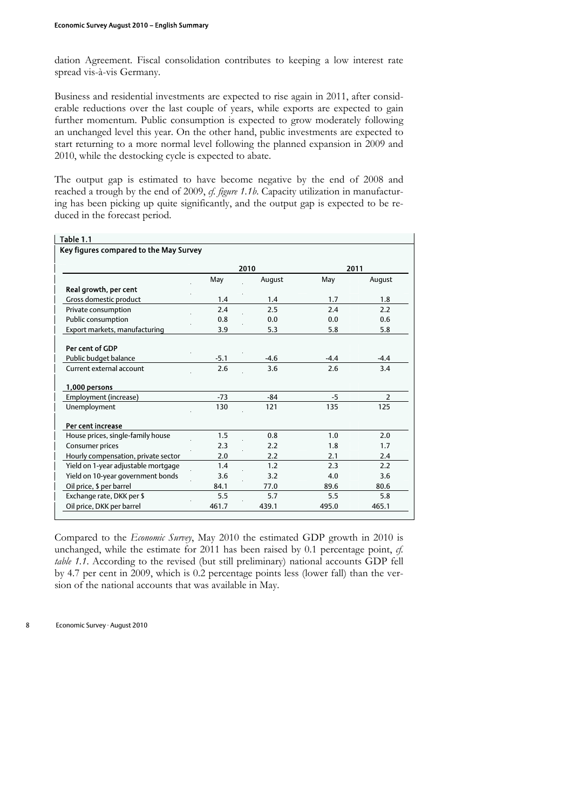dation Agreement. Fiscal consolidation contributes to keeping a low interest rate spread vis-à-vis Germany.

Business and residential investments are expected to rise again in 2011, after considerable reductions over the last couple of years, while exports are expected to gain further momentum. Public consumption is expected to grow moderately following an unchanged level this year. On the other hand, public investments are expected to start returning to a more normal level following the planned expansion in 2009 and 2010, while the destocking cycle is expected to abate.

The output gap is estimated to have become negative by the end of 2008 and reached a trough by the end of 2009, *cf. figure 1.1b*. Capacity utilization in manufacturing has been picking up quite significantly, and the output gap is expected to be reduced in the forecast period.

|                                     |        | 2010   |        | 2011           |
|-------------------------------------|--------|--------|--------|----------------|
|                                     | May    | August | May    | August         |
| Real growth, per cent               |        |        |        |                |
| Gross domestic product              | 1.4    | 1.4    | 1.7    | 1.8            |
| Private consumption                 | 2.4    | 2.5    | 2.4    | 2.2            |
| Public consumption                  | 0.8    | 0.0    | 0.0    | 0.6            |
| Export markets, manufacturing       | 3.9    | 5.3    | 5.8    | 5.8            |
| Per cent of GDP                     |        |        |        |                |
| Public budget balance               | $-5.1$ | $-4.6$ | $-4.4$ | $-4.4$         |
| Current external account            | 2.6    | 3.6    | 2.6    | 3.4            |
| 1,000 persons                       |        |        |        |                |
| Employment (increase)               | $-73$  | $-84$  | $-5$   | $\overline{2}$ |
| Unemployment                        | 130    | 121    | 135    | 125            |
| Per cent increase                   |        |        |        |                |
| House prices, single-family house   | 1.5    | 0.8    | 1.0    | 2.0            |
| Consumer prices                     | 2.3    | 2.2    | 1.8    | 1.7            |
| Hourly compensation, private sector | 2.0    | 2.2    | 2.1    | 2.4            |
| Yield on 1-year adjustable mortgage | 1.4    | 1.2    | 2.3    | 2.2            |
| Yield on 10-year government bonds   | 3.6    | 3.2    | 4.0    | 3.6            |
| Oil price, \$ per barrel            | 84.1   | 77.0   | 89.6   | 80.6           |
| Exchange rate, DKK per \$           | 5.5    | 5.7    | 5.5    | 5.8            |
| Oil price, DKK per barrel           | 461.7  | 439.1  | 495.0  | 465.1          |

Compared to the *Economic Survey*, May 2010 the estimated GDP growth in 2010 is unchanged, while the estimate for 2011 has been raised by 0.1 percentage point, *cf. table 1.1*. According to the revised (but still preliminary) national accounts GDP fell by 4.7 per cent in 2009, which is 0.2 percentage points less (lower fall) than the version of the national accounts that was available in May.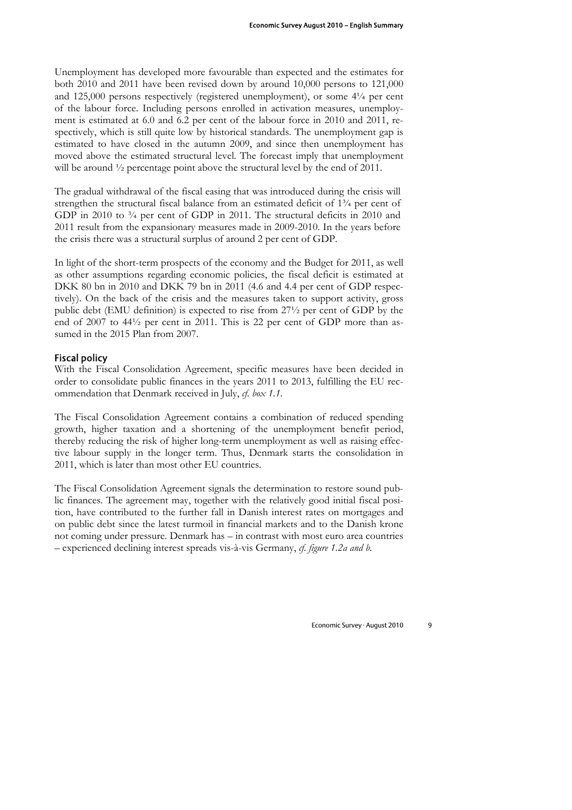Unemployment has developed more favourable than expected and the estimates for both 2010 and 2011 have been revised down by around 10,000 persons to 121,000 and 125,000 persons respectively (registered unemployment), or some 4¼ per cent of the labour force. Including persons enrolled in activation measures, unemployment is estimated at 6.0 and 6.2 per cent of the labour force in 2010 and 2011, respectively, which is still quite low by historical standards. The unemployment gap is estimated to have closed in the autumn 2009, and since then unemployment has moved above the estimated structural level. The forecast imply that unemployment will be around  $\frac{1}{2}$  percentage point above the structural level by the end of 2011.

The gradual withdrawal of the fiscal easing that was introduced during the crisis will strengthen the structural fiscal balance from an estimated deficit of 1¾ per cent of GDP in 2010 to  $\frac{3}{4}$  per cent of GDP in 2011. The structural deficits in 2010 and 2011 result from the expansionary measures made in 2009-2010. In the years before the crisis there was a structural surplus of around 2 per cent of GDP.

In light of the short-term prospects of the economy and the Budget for 2011, as well as other assumptions regarding economic policies, the fiscal deficit is estimated at DKK 80 bn in 2010 and DKK 79 bn in 2011 (4.6 and 4.4 per cent of GDP respectively). On the back of the crisis and the measures taken to support activity, gross public debt (EMU definition) is expected to rise from 27½ per cent of GDP by the end of 2007 to 44½ per cent in 2011. This is 22 per cent of GDP more than assumed in the 2015 Plan from 2007.

#### Fiscal policy

With the Fiscal Consolidation Agreement, specific measures have been decided in order to consolidate public finances in the years 2011 to 2013, fulfilling the EU recommendation that Denmark received in July, *cf. box 1.1*.

The Fiscal Consolidation Agreement contains a combination of reduced spending growth, higher taxation and a shortening of the unemployment benefit period, thereby reducing the risk of higher long-term unemployment as well as raising effective labour supply in the longer term. Thus, Denmark starts the consolidation in 2011, which is later than most other EU countries.

The Fiscal Consolidation Agreement signals the determination to restore sound public finances. The agreement may, together with the relatively good initial fiscal position, have contributed to the further fall in Danish interest rates on mortgages and on public debt since the latest turmoil in financial markets and to the Danish krone not coming under pressure. Denmark has – in contrast with most euro area countries – experienced declining interest spreads vis-à-vis Germany, *cf. figure 1.2a and b*.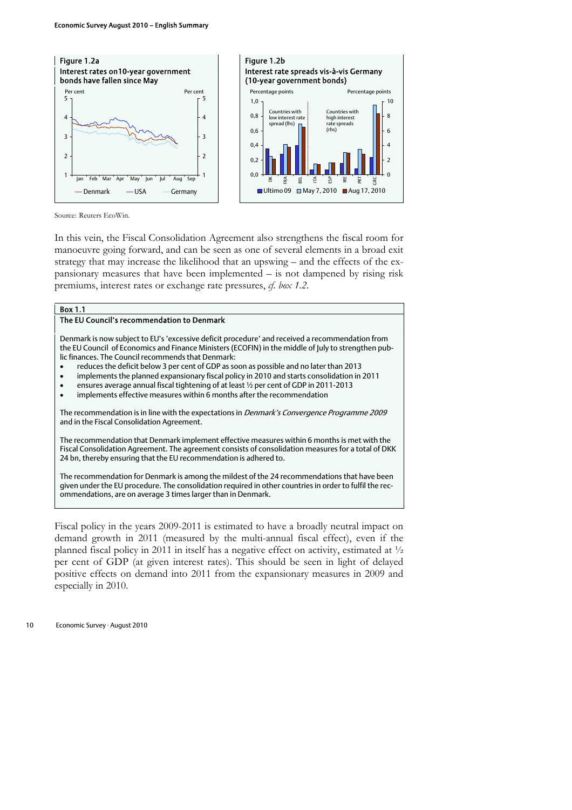

Source: Reuters EcoWin.

In this vein, the Fiscal Consolidation Agreement also strengthens the fiscal room for manoeuvre going forward, and can be seen as one of several elements in a broad exit strategy that may increase the likelihood that an upswing – and the effects of the expansionary measures that have been implemented – is not dampened by rising risk premiums, interest rates or exchange rate pressures, *cf. box 1.2*.

#### Box 1.1

#### The EU Council's recommendation to Denmark

Denmark is now subject to EU's 'excessive deficit procedure' and received a recommendation from the EU Council of Economics and Finance Ministers (ECOFIN) in the middle of July to strengthen public finances. The Council recommends that Denmark:

- reduces the deficit below 3 per cent of GDP as soon as possible and no later than 2013
- implements the planned expansionary fiscal policy in 2010 and starts consolidation in 2011
- ensures average annual fiscal tightening of at least  $\frac{1}{2}$  per cent of GDP in 2011-2013<br>• implements effective measures within 6 months after the recommendation
- implements effective measures within 6 months after the recommendation

The recommendation is in line with the expectations in *Denmark's Convergence Programme 2009* and in the Fiscal Consolidation Agreement.

The recommendation that Denmark implement effective measures within 6 months is met with the Fiscal Consolidation Agreement. The agreement consists of consolidation measures for a total of DKK 24 bn, thereby ensuring that the EU recommendation is adhered to.

The recommendation for Denmark is among the mildest of the 24 recommendations that have been given under the EU procedure. The consolidation required in other countries in order to fulfil the recommendations, are on average 3 times larger than in Denmark.

Fiscal policy in the years 2009-2011 is estimated to have a broadly neutral impact on demand growth in 2011 (measured by the multi-annual fiscal effect), even if the planned fiscal policy in 2011 in itself has a negative effect on activity, estimated at  $\frac{1}{2}$ per cent of GDP (at given interest rates). This should be seen in light of delayed positive effects on demand into 2011 from the expansionary measures in 2009 and especially in 2010.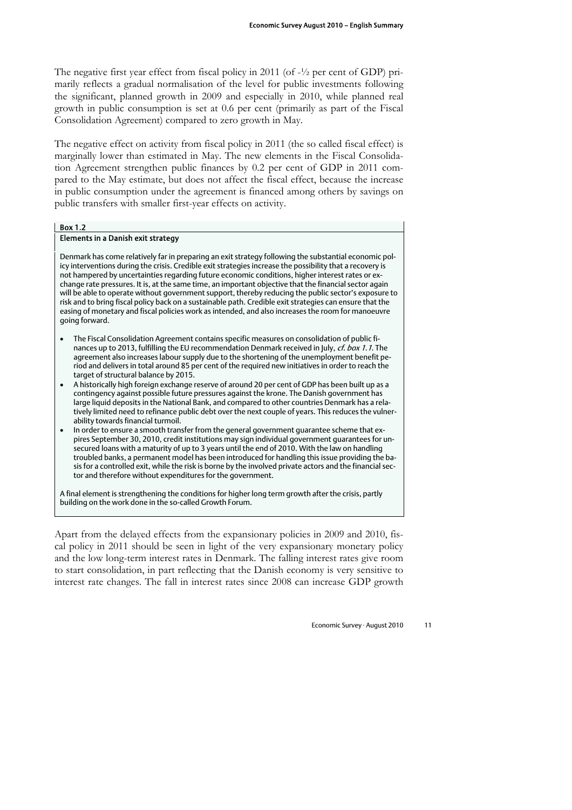The negative first year effect from fiscal policy in 2011 (of -½ per cent of GDP) primarily reflects a gradual normalisation of the level for public investments following the significant, planned growth in 2009 and especially in 2010, while planned real growth in public consumption is set at 0.6 per cent (primarily as part of the Fiscal Consolidation Agreement) compared to zero growth in May.

The negative effect on activity from fiscal policy in 2011 (the so called fiscal effect) is marginally lower than estimated in May. The new elements in the Fiscal Consolidation Agreement strengthen public finances by 0.2 per cent of GDP in 2011 compared to the May estimate, but does not affect the fiscal effect, because the increase in public consumption under the agreement is financed among others by savings on public transfers with smaller first-year effects on activity.

### Box 1.2

#### Elements in a Danish exit strategy

Denmark has come relatively far in preparing an exit strategy following the substantial economic policy interventions during the crisis. Credible exit strategies increase the possibility that a recovery is not hampered by uncertainties regarding future economic conditions, higher interest rates or exchange rate pressures. It is, at the same time, an important objective that the financial sector again will be able to operate without government support, thereby reducing the public sector's exposure to risk and to bring fiscal policy back on a sustainable path. Credible exit strategies can ensure that the easing of monetary and fiscal policies work as intended, and also increases the room for manoeuvre going forward.

- The Fiscal Consolidation Agreement contains specific measures on consolidation of public finances up to 2013, fulfilling the EU recommendation Denmark received in July, cf. box 1.1. The agreement also increases labour supply due to the shortening of the unemployment benefit period and delivers in total around 85 per cent of the required new initiatives in order to reach the target of structural balance by 2015.
- A historically high foreign exchange reserve of around 20 per cent of GDP has been built up as a contingency against possible future pressures against the krone. The Danish government has large liquid deposits in the National Bank, and compared to other countries Denmark has a relatively limited need to refinance public debt over the next couple of years. This reduces the vulnerability towards financial turmoil.
- In order to ensure a smooth transfer from the general government guarantee scheme that expires September 30, 2010, credit institutions may sign individual government guarantees for unsecured loans with a maturity of up to 3 years until the end of 2010. With the law on handling troubled banks, a permanent model has been introduced for handling this issue providing the basis for a controlled exit, while the risk is borne by the involved private actors and the financial sector and therefore without expenditures for the government.

A final element is strengthening the conditions for higher long term growth after the crisis, partly building on the work done in the so-called Growth Forum.

Apart from the delayed effects from the expansionary policies in 2009 and 2010, fiscal policy in 2011 should be seen in light of the very expansionary monetary policy and the low long-term interest rates in Denmark. The falling interest rates give room to start consolidation, in part reflecting that the Danish economy is very sensitive to interest rate changes. The fall in interest rates since 2008 can increase GDP growth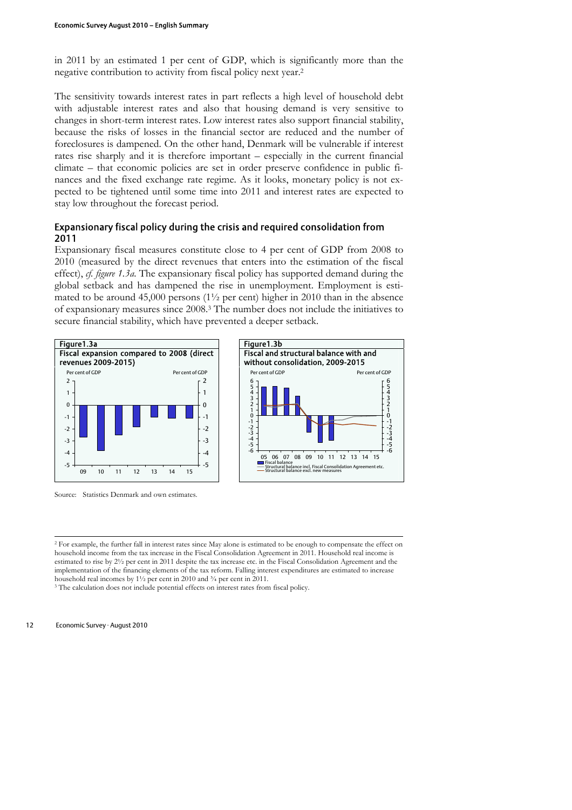in 2011 by an estimated 1 per cent of GDP, which is significantly more than the negative contribution to activity from fiscal policy next year.[2](#page-5-0)

The sensitivity towards interest rates in part reflects a high level of household debt with adjustable interest rates and also that housing demand is very sensitive to changes in short-term interest rates. Low interest rates also support financial stability, because the risks of losses in the financial sector are reduced and the number of foreclosures is dampened. On the other hand, Denmark will be vulnerable if interest rates rise sharply and it is therefore important – especially in the current financial climate – that economic policies are set in order preserve confidence in public finances and the fixed exchange rate regime. As it looks, monetary policy is not expected to be tightened until some time into 2011 and interest rates are expected to stay low throughout the forecast period.

# Expansionary fiscal policy during the crisis and required consolidation from 2011

Expansionary fiscal measures constitute close to 4 per cent of GDP from 2008 to 2010 (measured by the direct revenues that enters into the estimation of the fiscal effect), *cf. figure 1.3a*. The expansionary fiscal policy has supported demand during the global setback and has dampened the rise in unemployment. Employment is estimated to be around 45,000 persons (1½ per cent) higher in 2010 than in the absence of expansionary measures since 2008.[3](#page-5-1) The number does not include the initiatives to secure financial stability, which have prevented a deeper setback.



Source: Statistics Denmark and own estimates.



<span id="page-5-1"></span>



<span id="page-5-0"></span><sup>&</sup>lt;sup>2</sup> For example, the further fall in interest rates since May alone is estimated to be enough to compensate the effect on household income from the tax increase in the Fiscal Consolidation Agreement in 2011. Household real income is estimated to rise by 2½ per cent in 2011 despite the tax increase etc. in the Fiscal Consolidation Agreement and the implementation of the financing elements of the tax reform. Falling interest expenditures are estimated to increase household real incomes by  $1\frac{1}{2}$  per cent in 2010 and  $\frac{3}{4}$  per cent in 2011.<br><sup>3</sup> The calculation does not include potential effects on interest rates from fiscal policy.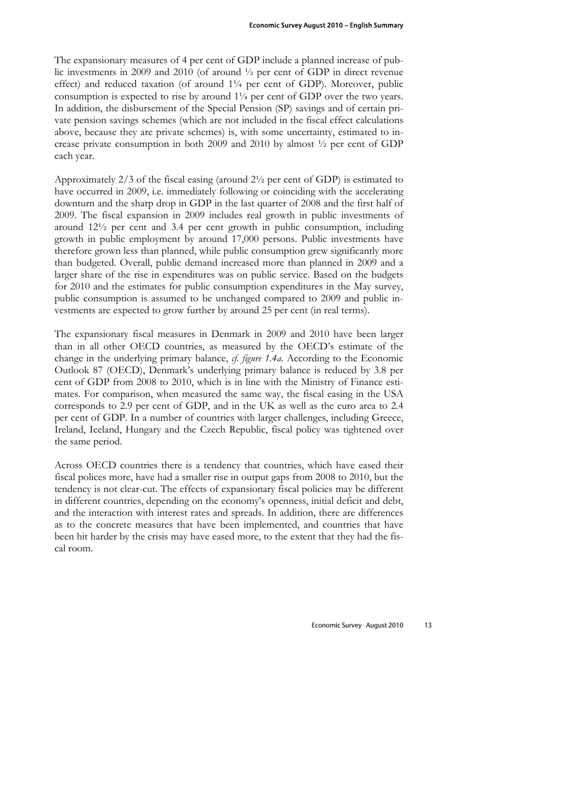The expansionary measures of 4 per cent of GDP include a planned increase of public investments in 2009 and 2010 (of around ½ per cent of GDP in direct revenue effect) and reduced taxation (of around 1¼ per cent of GDP). Moreover, public consumption is expected to rise by around 1¼ per cent of GDP over the two years. In addition, the disbursement of the Special Pension (SP) savings and of certain private pension savings schemes (which are not included in the fiscal effect calculations above, because they are private schemes) is, with some uncertainty, estimated to increase private consumption in both 2009 and 2010 by almost ½ per cent of GDP each year.

Approximately 2/3 of the fiscal easing (around  $2\frac{1}{2}$  per cent of GDP) is estimated to have occurred in 2009, i.e. immediately following or coinciding with the accelerating downturn and the sharp drop in GDP in the last quarter of 2008 and the first half of 2009. The fiscal expansion in 2009 includes real growth in public investments of around 12½ per cent and 3.4 per cent growth in public consumption, including growth in public employment by around 17,000 persons. Public investments have therefore grown less than planned, while public consumption grew significantly more than budgeted. Overall, public demand increased more than planned in 2009 and a larger share of the rise in expenditures was on public service. Based on the budgets for 2010 and the estimates for public consumption expenditures in the May survey, public consumption is assumed to be unchanged compared to 2009 and public investments are expected to grow further by around 25 per cent (in real terms).

The expansionary fiscal measures in Denmark in 2009 and 2010 have been larger than in all other OECD countries, as measured by the OECD's estimate of the change in the underlying primary balance, *cf. figure 1.4a*. According to the Economic Outlook 87 (OECD), Denmark's underlying primary balance is reduced by 3.8 per cent of GDP from 2008 to 2010, which is in line with the Ministry of Finance estimates. For comparison, when measured the same way, the fiscal easing in the USA corresponds to 2.9 per cent of GDP, and in the UK as well as the euro area to 2.4 per cent of GDP. In a number of countries with larger challenges, including Greece, Ireland, Iceland, Hungary and the Czech Republic, fiscal policy was tightened over the same period.

Across OECD countries there is a tendency that countries, which have eased their fiscal polices more, have had a smaller rise in output gaps from 2008 to 2010, but the tendency is not clear-cut. The effects of expansionary fiscal policies may be different in different countries, depending on the economy's openness, initial deficit and debt, and the interaction with interest rates and spreads. In addition, there are differences as to the concrete measures that have been implemented, and countries that have been hit harder by the crisis may have eased more, to the extent that they had the fiscal room.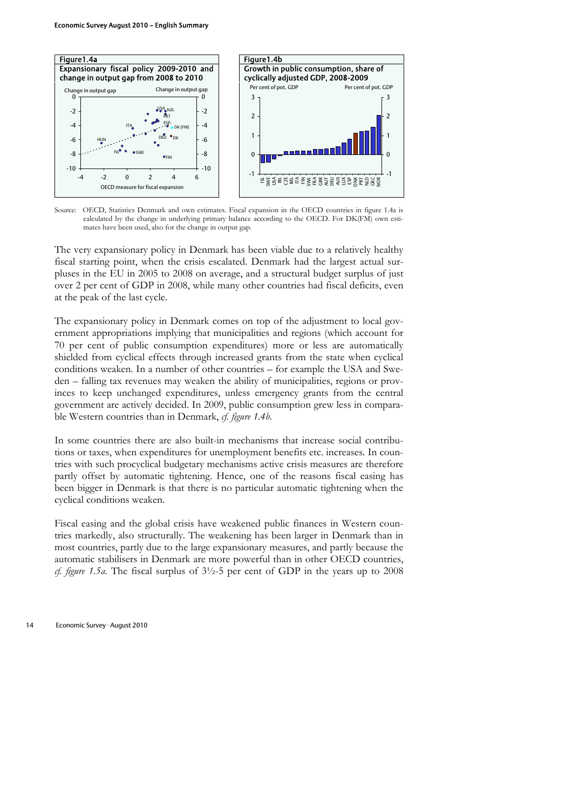

Source: OECD, Statistics Denmark and own estimates. Fiscal expansion in the OECD countries in figure 1.4a is calculated by the change in underlying primary balance according to the OECD. For DK(FM) own estimates have been used, also for the change in output gap.

The very expansionary policy in Denmark has been viable due to a relatively healthy fiscal starting point, when the crisis escalated. Denmark had the largest actual surpluses in the EU in 2005 to 2008 on average, and a structural budget surplus of just over 2 per cent of GDP in 2008, while many other countries had fiscal deficits, even at the peak of the last cycle.

The expansionary policy in Denmark comes on top of the adjustment to local government appropriations implying that municipalities and regions (which account for 70 per cent of public consumption expenditures) more or less are automatically shielded from cyclical effects through increased grants from the state when cyclical conditions weaken. In a number of other countries – for example the USA and Sweden – falling tax revenues may weaken the ability of municipalities, regions or provinces to keep unchanged expenditures, unless emergency grants from the central government are actively decided. In 2009, public consumption grew less in comparable Western countries than in Denmark, *cf. figure 1.4b*.

In some countries there are also built-in mechanisms that increase social contributions or taxes, when expenditures for unemployment benefits etc. increases. In countries with such procyclical budgetary mechanisms active crisis measures are therefore partly offset by automatic tightening. Hence, one of the reasons fiscal easing has been bigger in Denmark is that there is no particular automatic tightening when the cyclical conditions weaken.

Fiscal easing and the global crisis have weakened public finances in Western countries markedly, also structurally. The weakening has been larger in Denmark than in most countries, partly due to the large expansionary measures, and partly because the automatic stabilisers in Denmark are more powerful than in other OECD countries, *cf. figure 1.5a*. The fiscal surplus of 3½-5 per cent of GDP in the years up to 2008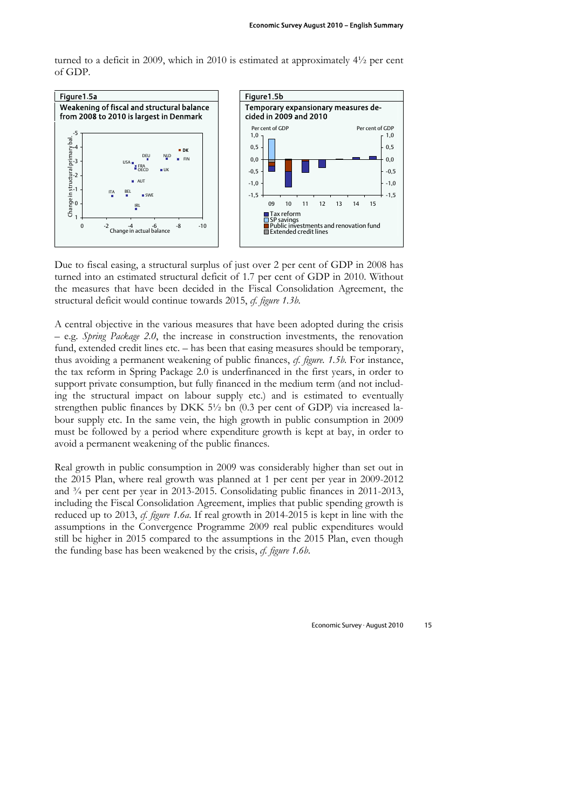turned to a deficit in 2009, which in 2010 is estimated at approximately 4½ per cent of GDP.



Due to fiscal easing, a structural surplus of just over 2 per cent of GDP in 2008 has turned into an estimated structural deficit of 1.7 per cent of GDP in 2010. Without the measures that have been decided in the Fiscal Consolidation Agreement, the structural deficit would continue towards 2015, *cf. figure 1.3b*.

A central objective in the various measures that have been adopted during the crisis – e.g. *Spring Package 2.0*, the increase in construction investments, the renovation fund, extended credit lines etc. – has been that easing measures should be temporary, thus avoiding a permanent weakening of public finances, *cf. figure. 1.5b*. For instance, the tax reform in Spring Package 2.0 is underfinanced in the first years, in order to support private consumption, but fully financed in the medium term (and not including the structural impact on labour supply etc.) and is estimated to eventually strengthen public finances by DKK 5½ bn (0.3 per cent of GDP) via increased labour supply etc. In the same vein, the high growth in public consumption in 2009 must be followed by a period where expenditure growth is kept at bay, in order to avoid a permanent weakening of the public finances.

Real growth in public consumption in 2009 was considerably higher than set out in the 2015 Plan, where real growth was planned at 1 per cent per year in 2009-2012 and  $\frac{3}{4}$  per cent per year in 2013-2015. Consolidating public finances in 2011-2013, including the Fiscal Consolidation Agreement, implies that public spending growth is reduced up to 2013, *cf. figure 1.6a*. If real growth in 2014-2015 is kept in line with the assumptions in the Convergence Programme 2009 real public expenditures would still be higher in 2015 compared to the assumptions in the 2015 Plan, even though the funding base has been weakened by the crisis, *cf. figure 1.6b*.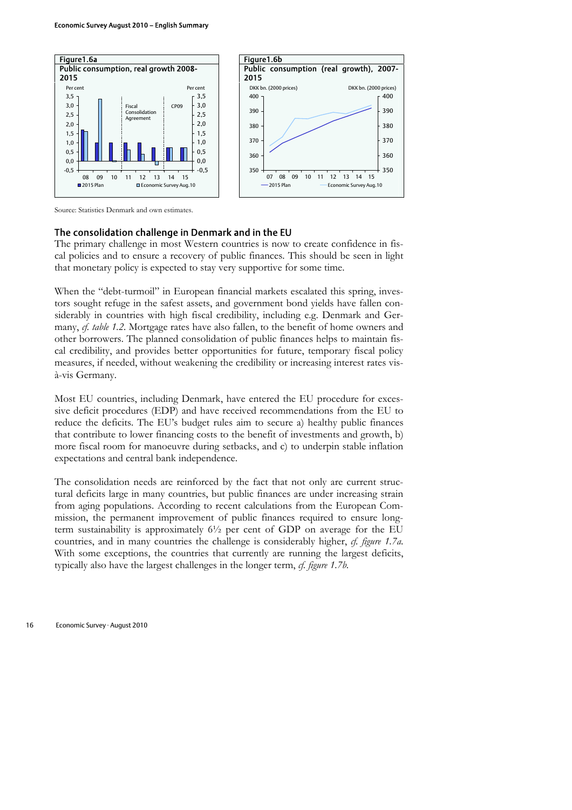

Source: Statistics Denmark and own estimates.

#### The consolidation challenge in Denmark and in the EU

The primary challenge in most Western countries is now to create confidence in fiscal policies and to ensure a recovery of public finances. This should be seen in light that monetary policy is expected to stay very supportive for some time.

When the "debt-turmoil" in European financial markets escalated this spring, investors sought refuge in the safest assets, and government bond yields have fallen considerably in countries with high fiscal credibility, including e.g. Denmark and Germany, *cf. table 1.2*. Mortgage rates have also fallen, to the benefit of home owners and other borrowers. The planned consolidation of public finances helps to maintain fiscal credibility, and provides better opportunities for future, temporary fiscal policy measures, if needed, without weakening the credibility or increasing interest rates visà-vis Germany.

Most EU countries, including Denmark, have entered the EU procedure for excessive deficit procedures (EDP) and have received recommendations from the EU to reduce the deficits. The EU's budget rules aim to secure a) healthy public finances that contribute to lower financing costs to the benefit of investments and growth, b) more fiscal room for manoeuvre during setbacks, and c) to underpin stable inflation expectations and central bank independence.

The consolidation needs are reinforced by the fact that not only are current structural deficits large in many countries, but public finances are under increasing strain from aging populations. According to recent calculations from the European Commission, the permanent improvement of public finances required to ensure longterm sustainability is approximately 6½ per cent of GDP on average for the EU countries, and in many countries the challenge is considerably higher, *cf. figure 1.7a*. With some exceptions, the countries that currently are running the largest deficits, typically also have the largest challenges in the longer term, *cf. figure 1.7b*.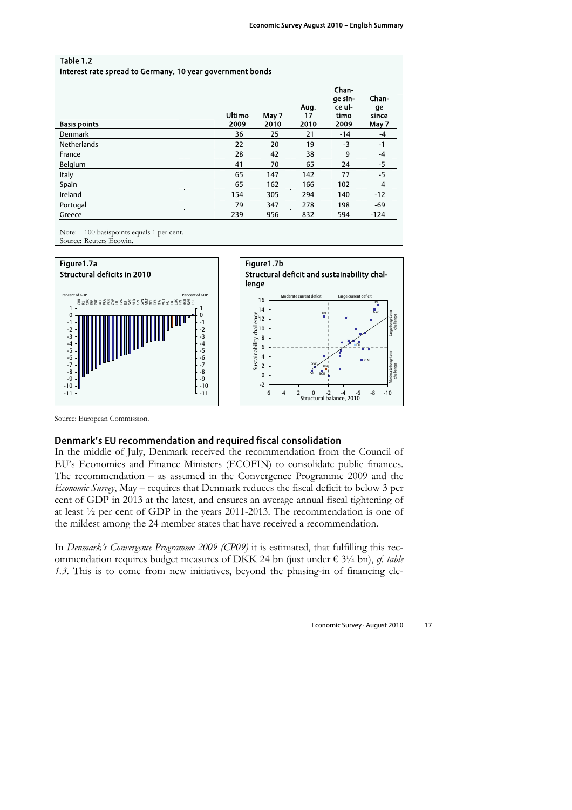| Table 1.2<br>Interest rate spread to Germany, 10 year government bonds |                       |               |                    |                                            |                               |
|------------------------------------------------------------------------|-----------------------|---------------|--------------------|--------------------------------------------|-------------------------------|
| <b>Basis points</b>                                                    | <b>Ultimo</b><br>2009 | May 7<br>2010 | Aug.<br>17<br>2010 | Chan-<br>ge sin-<br>ce ul-<br>timo<br>2009 | Chan-<br>ge<br>since<br>May 7 |
| <b>Denmark</b>                                                         | 36                    | 25            | 21                 | $-14$                                      | $-4$                          |
| <b>Netherlands</b>                                                     | 22                    | 20            | 19                 | $-3$                                       | $-1$                          |
| France                                                                 | 28                    | 42            | 38                 | 9                                          | $-4$                          |
| Belgium                                                                | 41                    | 70            | 65                 | 24                                         | $-5$                          |
| Italy                                                                  | 65                    | 147           | 142                | 77                                         | $-5$                          |
| Spain                                                                  | 65                    | 162           | 166                | 102                                        | $\overline{4}$                |
| Ireland                                                                | 154                   | 305           | 294                | 140                                        | $-12$                         |
| Portugal                                                               | 79                    | 347           | 278                | 198                                        | $-69$                         |
| Greece                                                                 | 239                   | 956           | 832                | 594                                        | $-124$                        |

Note: 100 basispoints equals 1 per cent.

Source: Reuters Ecowin.



Source: European Commission.

### Denmark's EU recommendation and required fiscal consolidation

In the middle of July, Denmark received the recommendation from the Council of EU's Economics and Finance Ministers (ECOFIN) to consolidate public finances. The recommendation – as assumed in the Convergence Programme 2009 and the *Economic Survey*, May *–* requires that Denmark reduces the fiscal deficit to below 3 per cent of GDP in 2013 at the latest, and ensures an average annual fiscal tightening of at least ½ per cent of GDP in the years 2011-2013. The recommendation is one of the mildest among the 24 member states that have received a recommendation.

In *Denmark's Convergence Programme 2009 (CP09)* it is estimated, that fulfilling this recommendation requires budget measures of DKK 24 bn (just under  $\epsilon$  3<sup>1</sup>/<sub>4</sub> bn), *cf. table 1.3*. This is to come from new initiatives, beyond the phasing-in of financing ele-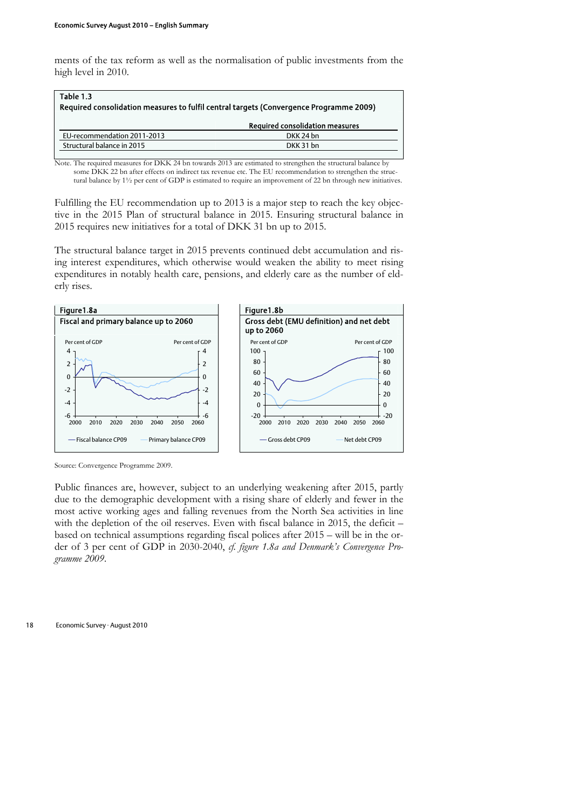ments of the tax reform as well as the normalisation of public investments from the high level in 2010.

| Table 1.3                   | Required consolidation measures to fulfil central targets (Convergence Programme 2009) |
|-----------------------------|----------------------------------------------------------------------------------------|
|                             | <b>Required consolidation measures</b>                                                 |
| EU-recommendation 2011-2013 | DKK 24 bn                                                                              |
| Structural balance in 2015  | DKK 31 bn                                                                              |

Note. The required measures for DKK 24 bn towards 2013 are estimated to strengthen the structural balance by some DKK 22 bn after effects on indirect tax revenue etc. The EU recommendation to strengthen the structural balance by 1½ per cent of GDP is estimated to require an improvement of 22 bn through new initiatives.

Fulfilling the EU recommendation up to 2013 is a major step to reach the key objective in the 2015 Plan of structural balance in 2015. Ensuring structural balance in 2015 requires new initiatives for a total of DKK 31 bn up to 2015.

The structural balance target in 2015 prevents continued debt accumulation and rising interest expenditures, which otherwise would weaken the ability to meet rising expenditures in notably health care, pensions, and elderly care as the number of elderly rises.



Source: Convergence Programme 2009.

Public finances are, however, subject to an underlying weakening after 2015, partly due to the demographic development with a rising share of elderly and fewer in the most active working ages and falling revenues from the North Sea activities in line with the depletion of the oil reserves. Even with fiscal balance in 2015, the deficit  $$ based on technical assumptions regarding fiscal polices after 2015 – will be in the order of 3 per cent of GDP in 2030-2040, *cf. figure 1.8a and Denmark's Convergence Programme 2009*.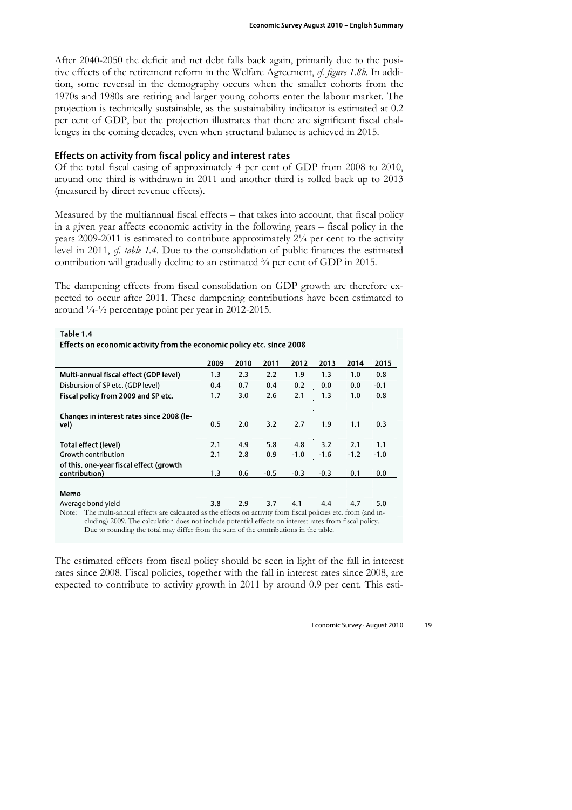After 2040-2050 the deficit and net debt falls back again, primarily due to the positive effects of the retirement reform in the Welfare Agreement, *cf. figure 1.8b*. In addition, some reversal in the demography occurs when the smaller cohorts from the 1970s and 1980s are retiring and larger young cohorts enter the labour market. The projection is technically sustainable, as the sustainability indicator is estimated at 0.2 per cent of GDP, but the projection illustrates that there are significant fiscal challenges in the coming decades, even when structural balance is achieved in 2015.

### Effects on activity from fiscal policy and interest rates

Of the total fiscal easing of approximately 4 per cent of GDP from 2008 to 2010, around one third is withdrawn in 2011 and another third is rolled back up to 2013 (measured by direct revenue effects).

Measured by the multiannual fiscal effects – that takes into account, that fiscal policy in a given year affects economic activity in the following years – fiscal policy in the years 2009-2011 is estimated to contribute approximately 2¼ per cent to the activity level in 2011, *cf. table 1.4*. Due to the consolidation of public finances the estimated contribution will gradually decline to an estimated  $\frac{3}{4}$  per cent of GDP in 2015.

The dampening effects from fiscal consolidation on GDP growth are therefore expected to occur after 2011. These dampening contributions have been estimated to around  $\frac{1}{4}$ - $\frac{1}{2}$  percentage point per year in 2012-2015.

| Table 1.4<br>Effects on economic activity from the economic policy etc. since 2008                                                                                                                                                                                                                                     |      |      |        |        |        |        |        |
|------------------------------------------------------------------------------------------------------------------------------------------------------------------------------------------------------------------------------------------------------------------------------------------------------------------------|------|------|--------|--------|--------|--------|--------|
|                                                                                                                                                                                                                                                                                                                        | 2009 | 2010 | 2011   | 2012   | 2013   | 2014   | 2015   |
| Multi-annual fiscal effect (GDP level)                                                                                                                                                                                                                                                                                 | 1.3  | 2.3  | 2.2    | 1.9    | 1.3    | 1.0    | 0.8    |
| Disbursion of SP etc. (GDP level)                                                                                                                                                                                                                                                                                      | 0.4  | 0.7  | 0.4    | 0.2    | 0.0    | 0.0    | $-0.1$ |
| Fiscal policy from 2009 and SP etc.                                                                                                                                                                                                                                                                                    | 1.7  | 3.0  | 2.6    | 2.1    | 1.3    | 1.0    | 0.8    |
| Changes in interest rates since 2008 (le-<br>vel)                                                                                                                                                                                                                                                                      | 0.5  | 2.0  | 3.2    | 2.7    | 1.9    | 1.1    | 0.3    |
| Total effect (level)                                                                                                                                                                                                                                                                                                   | 2.1  | 4.9  | 5.8    | 4.8    | 3.2    | 2.1    | 1.1    |
| Growth contribution                                                                                                                                                                                                                                                                                                    | 2.1  | 2.8  | 0.9    | $-1.0$ | $-1.6$ | $-1.2$ | $-1.0$ |
| of this, one-year fiscal effect (growth<br>contribution)                                                                                                                                                                                                                                                               | 1.3  | 0.6  | $-0.5$ | $-0.3$ | $-0.3$ | 0.1    | 0.0    |
| Memo<br>Average bond yield                                                                                                                                                                                                                                                                                             | 3.8  | 2.9  | 3.7    | 4.1    | 4.4    | 4.7    | 5.0    |
| The multi-annual effects are calculated as the effects on activity from fiscal policies etc. from (and in-<br>Note:<br>cluding) 2009. The calculation does not include potential effects on interest rates from fiscal policy.<br>Due to rounding the total may differ from the sum of the contributions in the table. |      |      |        |        |        |        |        |

The estimated effects from fiscal policy should be seen in light of the fall in interest rates since 2008. Fiscal policies, together with the fall in interest rates since 2008, are expected to contribute to activity growth in 2011 by around 0.9 per cent. This esti-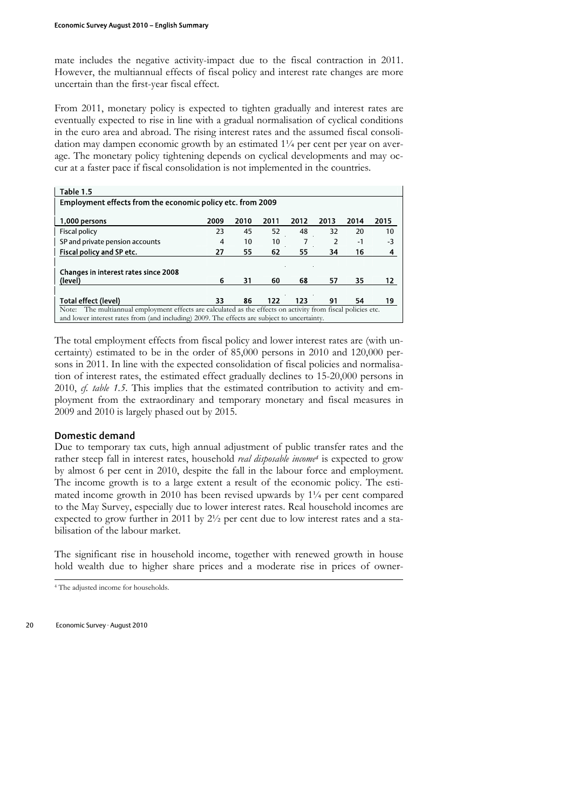mate includes the negative activity-impact due to the fiscal contraction in 2011. However, the multiannual effects of fiscal policy and interest rate changes are more uncertain than the first-year fiscal effect.

From 2011, monetary policy is expected to tighten gradually and interest rates are eventually expected to rise in line with a gradual normalisation of cyclical conditions in the euro area and abroad. The rising interest rates and the assumed fiscal consolidation may dampen economic growth by an estimated 1¼ per cent per year on average. The monetary policy tightening depends on cyclical developments and may occur at a faster pace if fiscal consolidation is not implemented in the countries.

| Table 1.5                                                                                                                                                                                                   |      |      |      |      |      |      |      |
|-------------------------------------------------------------------------------------------------------------------------------------------------------------------------------------------------------------|------|------|------|------|------|------|------|
| Employment effects from the economic policy etc. from 2009                                                                                                                                                  |      |      |      |      |      |      |      |
|                                                                                                                                                                                                             |      |      |      |      |      |      |      |
| 1,000 persons                                                                                                                                                                                               | 2009 | 2010 | 2011 | 2012 | 2013 | 2014 | 2015 |
| <b>Fiscal policy</b>                                                                                                                                                                                        | 23   | 45   | 52   | 48   | 32   | 20   | 10   |
| SP and private pension accounts                                                                                                                                                                             | 4    | 10   | 10   |      |      | -1   | $-3$ |
| Fiscal policy and SP etc.                                                                                                                                                                                   | 27   | 55   | 62   | 55   | 34   | 16   | 4    |
| <b>Changes in interest rates since 2008</b>                                                                                                                                                                 |      |      |      |      |      |      |      |
| (level)                                                                                                                                                                                                     | 6    | 31   | 60   | 68   | 57   | 35   | 12   |
| <b>Total effect (level)</b>                                                                                                                                                                                 | 33   | 86   | 122  | 123  | 91   | 54   | 19   |
| Note: The multiannual employment effects are calculated as the effects on activity from fiscal policies etc.<br>and lower interest rates from (and including) 2009. The effects are subject to uncertainty. |      |      |      |      |      |      |      |
|                                                                                                                                                                                                             |      |      |      |      |      |      |      |

The total employment effects from fiscal policy and lower interest rates are (with uncertainty) estimated to be in the order of 85,000 persons in 2010 and 120,000 persons in 2011. In line with the expected consolidation of fiscal policies and normalisation of interest rates, the estimated effect gradually declines to 15-20,000 persons in 2010, *cf. table 1.5*. This implies that the estimated contribution to activity and employment from the extraordinary and temporary monetary and fiscal measures in 2009 and 2010 is largely phased out by 2015.

### Domestic demand

Due to temporary tax cuts, high annual adjustment of public transfer rates and the rather steep fall in interest rates, household *real disposable income4*is expected to grow by almost 6 per cent in 2010, despite the fall in the labour force and employment. The income growth is to a large extent a result of the economic policy. The estimated income growth in 2010 has been revised upwards by 1¼ per cent compared to the May Survey, especially due to lower interest rates. Real household incomes are expected to grow further in 2011 by 2½ per cent due to low interest rates and a stabilisation of the labour market.

The significant rise in household income, together with renewed growth in house hold wealth due to higher share prices and a moderate rise in prices of owner-

<span id="page-13-0"></span><sup>&</sup>lt;sup>4</sup> The adjusted income for households.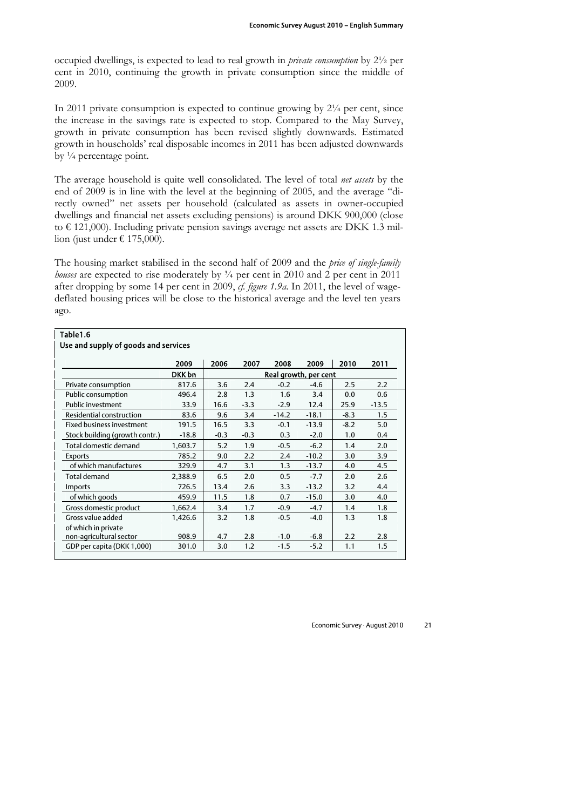occupied dwellings, is expected to lead to real growth in *private consumption* by 2½ per cent in 2010, continuing the growth in private consumption since the middle of 2009.

In 2011 private consumption is expected to continue growing by  $2\frac{1}{4}$  per cent, since the increase in the savings rate is expected to stop. Compared to the May Survey, growth in private consumption has been revised slightly downwards. Estimated growth in households' real disposable incomes in 2011 has been adjusted downwards by ¼ percentage point.

The average household is quite well consolidated. The level of total *net assets* by the end of 2009 is in line with the level at the beginning of 2005, and the average "directly owned" net assets per household (calculated as assets in owner-occupied dwellings and financial net assets excluding pensions) is around DKK 900,000 (close to  $\epsilon$  121,000). Including private pension savings average net assets are DKK 1.3 million (just under  $\in$  175,000).

The housing market stabilised in the second half of 2009 and the *price of single-family houses* are expected to rise moderately by  $\frac{3}{4}$  per cent in 2010 and 2 per cent in 2011 after dropping by some 14 per cent in 2009, *cf. figure 1.9a*. In 2011, the level of wagedeflated housing prices will be close to the historical average and the level ten years ago.

| Table1.6                             |         |                       |        |         |         |        |         |  |  |
|--------------------------------------|---------|-----------------------|--------|---------|---------|--------|---------|--|--|
| Use and supply of goods and services |         |                       |        |         |         |        |         |  |  |
|                                      | 2009    | 2006                  | 2007   | 2008    | 2009    | 2010   | 2011    |  |  |
|                                      | DKK bn  | Real growth, per cent |        |         |         |        |         |  |  |
| Private consumption                  | 817.6   | 3.6                   | 2.4    | $-0.2$  | $-4.6$  | 2.5    | 2.2     |  |  |
| Public consumption                   | 496.4   | 2.8                   | 1.3    | 1.6     | 3.4     | 0.0    | 0.6     |  |  |
| Public investment                    | 33.9    | 16.6                  | $-3.3$ | $-2.9$  | 12.4    | 25.9   | $-13.5$ |  |  |
| Residential construction             | 83.6    | 9.6                   | 3.4    | $-14.2$ | $-18.1$ | $-8.3$ | 1.5     |  |  |
| <b>Fixed business investment</b>     | 191.5   | 16.5                  | 3.3    | $-0.1$  | $-13.9$ | $-8.2$ | 5.0     |  |  |
| Stock building (growth contr.)       | $-18.8$ | $-0.3$                | $-0.3$ | 0.3     | $-2.0$  | 1.0    | 0.4     |  |  |
| Total domestic demand                | 1,603.7 | 5.2                   | 1.9    | $-0.5$  | $-6.2$  | 1.4    | 2.0     |  |  |
| <b>Exports</b>                       | 785.2   | 9.0                   | 2.2    | 2.4     | $-10.2$ | 3.0    | 3.9     |  |  |
| of which manufactures                | 329.9   | 4.7                   | 3.1    | 1.3     | $-13.7$ | 4.0    | 4.5     |  |  |
| <b>Total demand</b>                  | 2,388.9 | 6.5                   | 2.0    | 0.5     | $-7.7$  | 2.0    | 2.6     |  |  |
| Imports                              | 726.5   | 13.4                  | 2.6    | 3.3     | $-13.2$ | 3.2    | 4.4     |  |  |
| of which goods                       | 459.9   | 11.5                  | 1.8    | 0.7     | $-15.0$ | 3.0    | 4.0     |  |  |
| Gross domestic product               | 1,662.4 | 3.4                   | 1.7    | $-0.9$  | $-4.7$  | 1.4    | 1.8     |  |  |
| Gross value added                    | 1,426.6 | 3.2                   | 1.8    | $-0.5$  | $-4.0$  | 1.3    | 1.8     |  |  |
| of which in private                  |         |                       |        |         |         |        |         |  |  |
| non-agricultural sector              | 908.9   | 4.7                   | 2.8    | $-1.0$  | $-6.8$  | 2.2    | 2.8     |  |  |
| GDP per capita (DKK 1,000)           | 301.0   | 3.0                   | 1.2    | $-1.5$  | $-5.2$  | 1.1    | 1.5     |  |  |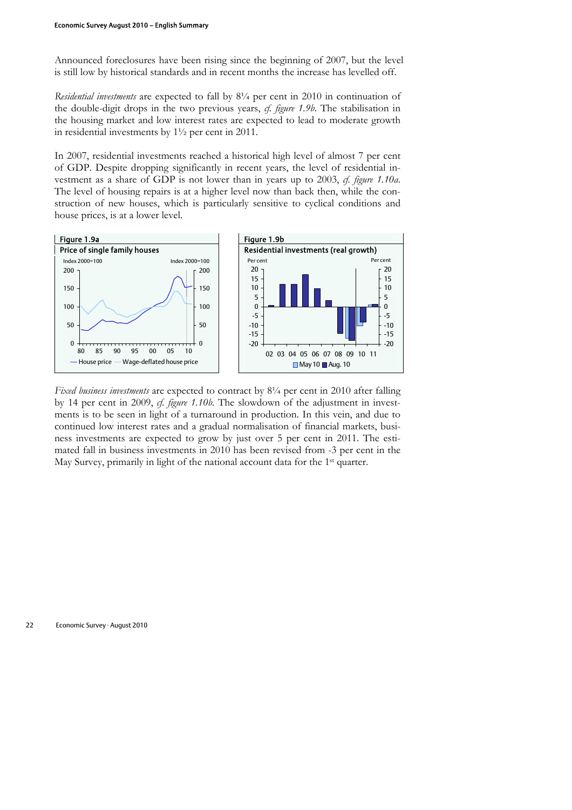Announced foreclosures have been rising since the beginning of 2007, but the level is still low by historical standards and in recent months the increase has levelled off.

*Residential investments* are expected to fall by 8¼ per cent in 2010 in continuation of the double-digit drops in the two previous years, *cf. figure 1.9b*. The stabilisation in the housing market and low interest rates are expected to lead to moderate growth in residential investments by 1½ per cent in 2011.

In 2007, residential investments reached a historical high level of almost 7 per cent of GDP. Despite dropping significantly in recent years, the level of residential investment as a share of GDP is not lower than in years up to 2003, *cf. figure 1.10a*. The level of housing repairs is at a higher level now than back then, while the construction of new houses, which is particularly sensitive to cyclical conditions and house prices, is at a lower level.



*Fixed business investments* are expected to contract by  $8\frac{1}{4}$  per cent in 2010 after falling by 14 per cent in 2009, *cf. figure 1.10b*. The slowdown of the adjustment in investments is to be seen in light of a turnaround in production. In this vein, and due to continued low interest rates and a gradual normalisation of financial markets, business investments are expected to grow by just over 5 per cent in 2011. The estimated fall in business investments in 2010 has been revised from -3 per cent in the May Survey, primarily in light of the national account data for the 1st quarter.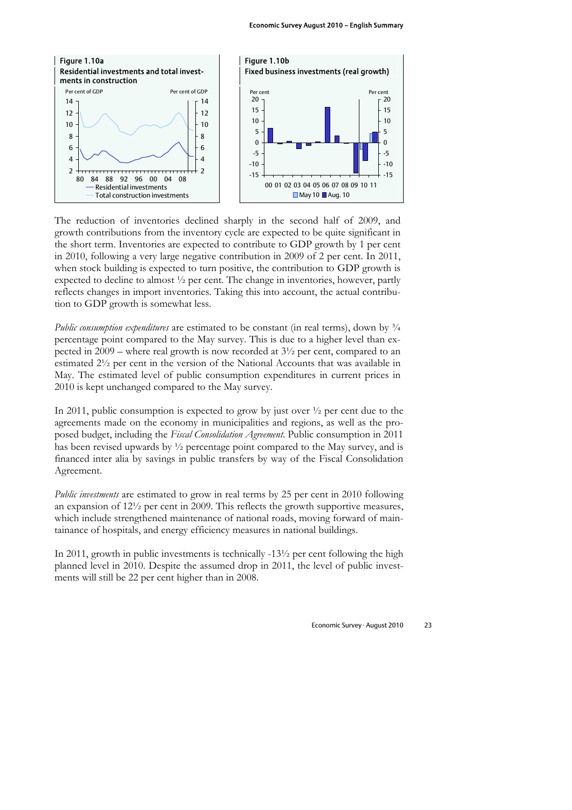

The reduction of inventories declined sharply in the second half of 2009, and growth contributions from the inventory cycle are expected to be quite significant in the short term. Inventories are expected to contribute to GDP growth by 1 per cent in 2010, following a very large negative contribution in 2009 of 2 per cent. In 2011, when stock building is expected to turn positive, the contribution to GDP growth is expected to decline to almost  $\frac{1}{2}$  per cent. The change in inventories, however, partly reflects changes in import inventories. Taking this into account, the actual contribution to GDP growth is somewhat less.

*Public consumption expenditures* are estimated to be constant (in real terms), down by <sup>3</sup>/4 percentage point compared to the May survey. This is due to a higher level than expected in 2009 – where real growth is now recorded at 3½ per cent, compared to an estimated 2½ per cent in the version of the National Accounts that was available in May. The estimated level of public consumption expenditures in current prices in 2010 is kept unchanged compared to the May survey.

In 2011, public consumption is expected to grow by just over ½ per cent due to the agreements made on the economy in municipalities and regions, as well as the proposed budget, including the *Fiscal Consolidation Agreement*. Public consumption in 2011 has been revised upwards by ½ percentage point compared to the May survey, and is financed inter alia by savings in public transfers by way of the Fiscal Consolidation Agreement.

*Public investments* are estimated to grow in real terms by 25 per cent in 2010 following an expansion of 12½ per cent in 2009. This reflects the growth supportive measures, which include strengthened maintenance of national roads, moving forward of maintainance of hospitals, and energy efficiency measures in national buildings.

In 2011, growth in public investments is technically -13½ per cent following the high planned level in 2010. Despite the assumed drop in 2011, the level of public investments will still be 22 per cent higher than in 2008.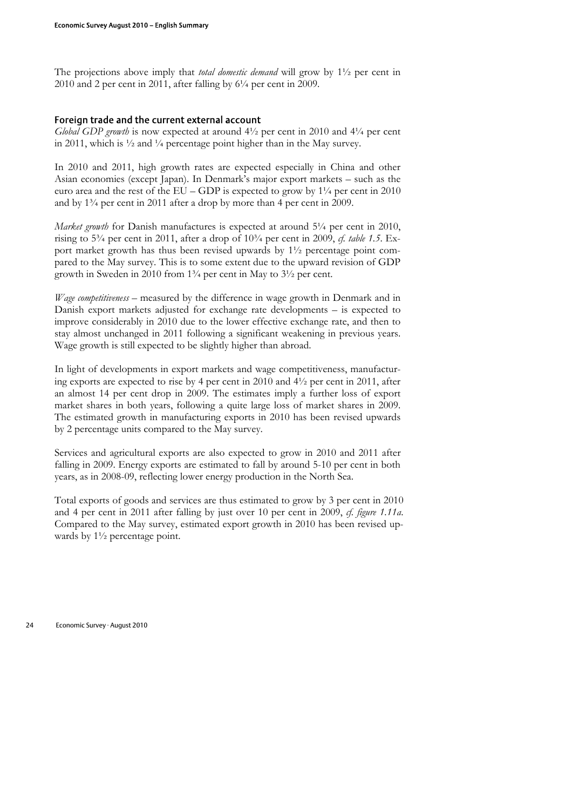The projections above imply that *total domestic demand* will grow by 1½ per cent in 2010 and 2 per cent in 2011, after falling by 6¼ per cent in 2009.

#### Foreign trade and the current external account

*Global GDP growth* is now expected at around  $4\frac{1}{2}$  per cent in 2010 and  $4\frac{1}{4}$  per cent in 2011, which is ½ and ¼ percentage point higher than in the May survey.

In 2010 and 2011, high growth rates are expected especially in China and other Asian economies (except Japan). In Denmark's major export markets – such as the euro area and the rest of the  $EU - GDP$  is expected to grow by  $1\frac{1}{4}$  per cent in 2010 and by 1¾ per cent in 2011 after a drop by more than 4 per cent in 2009.

*Market growth* for Danish manufactures is expected at around 5<sup>1</sup>/4 per cent in 2010, rising to 5¾ per cent in 2011, after a drop of 10¾ per cent in 2009, *cf. table 1.5*. Export market growth has thus been revised upwards by  $1\frac{1}{2}$  percentage point compared to the May survey. This is to some extent due to the upward revision of GDP growth in Sweden in 2010 from 1¾ per cent in May to 3½ per cent.

*Wage competitiveness* – measured by the difference in wage growth in Denmark and in Danish export markets adjusted for exchange rate developments – is expected to improve considerably in 2010 due to the lower effective exchange rate, and then to stay almost unchanged in 2011 following a significant weakening in previous years. Wage growth is still expected to be slightly higher than abroad.

In light of developments in export markets and wage competitiveness, manufacturing exports are expected to rise by 4 per cent in 2010 and 4½ per cent in 2011, after an almost 14 per cent drop in 2009. The estimates imply a further loss of export market shares in both years, following a quite large loss of market shares in 2009. The estimated growth in manufacturing exports in 2010 has been revised upwards by 2 percentage units compared to the May survey.

Services and agricultural exports are also expected to grow in 2010 and 2011 after falling in 2009. Energy exports are estimated to fall by around 5-10 per cent in both years, as in 2008-09, reflecting lower energy production in the North Sea.

Total exports of goods and services are thus estimated to grow by 3 per cent in 2010 and 4 per cent in 2011 after falling by just over 10 per cent in 2009, *cf. figure 1.11a*. Compared to the May survey, estimated export growth in 2010 has been revised upwards by 1½ percentage point.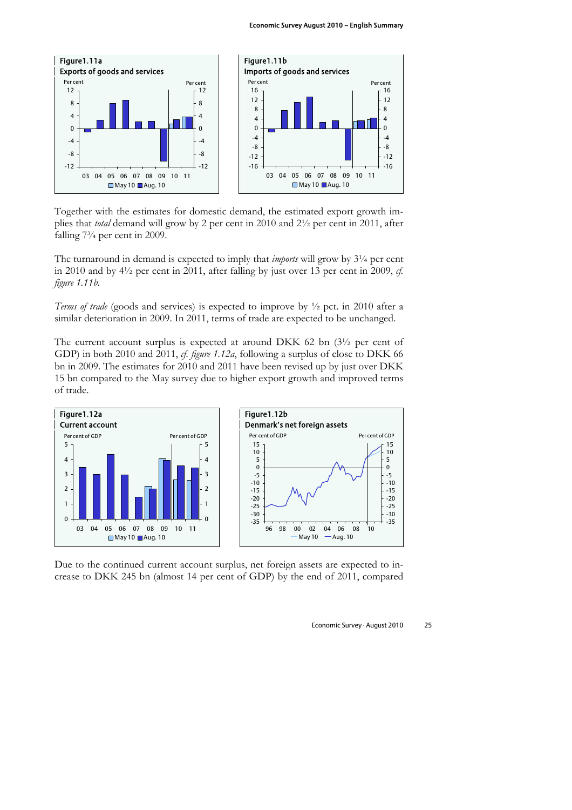#### Economic Survey August 2010 – English Summary



Together with the estimates for domestic demand, the estimated export growth implies that *total* demand will grow by 2 per cent in 2010 and 2½ per cent in 2011, after falling 7¾ per cent in 2009.

The turnaround in demand is expected to imply that *imports* will grow by 3¼ per cent in 2010 and by 4½ per cent in 2011, after falling by just over 13 per cent in 2009, *cf. figure 1.11b*.

*Terms of trade* (goods and services) is expected to improve by  $\frac{1}{2}$  pct. in 2010 after a similar deterioration in 2009. In 2011, terms of trade are expected to be unchanged.

The current account surplus is expected at around DKK 62 bn (3½ per cent of GDP) in both 2010 and 2011, *cf. figure 1.12a*, following a surplus of close to DKK 66 bn in 2009. The estimates for 2010 and 2011 have been revised up by just over DKK 15 bn compared to the May survey due to higher export growth and improved terms of trade.



Due to the continued current account surplus, net foreign assets are expected to increase to DKK 245 bn (almost 14 per cent of GDP) by the end of 2011, compared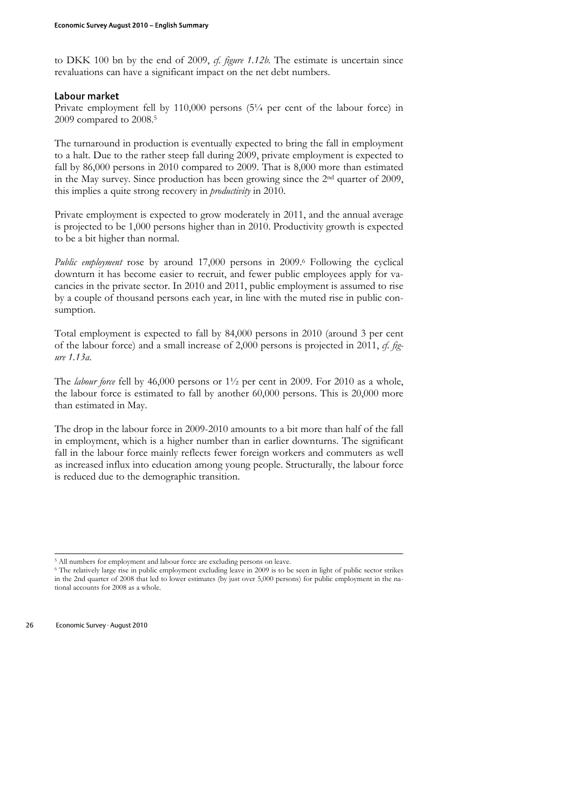to DKK 100 bn by the end of 2009, *cf. figure 1.12b*. The estimate is uncertain since revaluations can have a significant impact on the net debt numbers.

### Labour market

Private employment fell by 110,000 persons (5¼ per cent of the labour force) in 2009 compared to 2008.[5](#page-19-0)

The turnaround in production is eventually expected to bring the fall in employment to a halt. Due to the rather steep fall during 2009, private employment is expected to fall by 86,000 persons in 2010 compared to 2009. That is 8,000 more than estimated in the May survey. Since production has been growing since the 2nd quarter of 2009, this implies a quite strong recovery in *productivity* in 2010.

Private employment is expected to grow moderately in 2011, and the annual average is projected to be 1,000 persons higher than in 2010. Productivity growth is expected to be a bit higher than normal.

*Public employment* rose by around 17,000 persons in 2009[.6](#page-19-1) Following the cyclical downturn it has become easier to recruit, and fewer public employees apply for vacancies in the private sector. In 2010 and 2011, public employment is assumed to rise by a couple of thousand persons each year, in line with the muted rise in public consumption.

Total employment is expected to fall by 84,000 persons in 2010 (around 3 per cent of the labour force) and a small increase of 2,000 persons is projected in 2011, *cf. figure 1.13a*.

The *labour force* fell by 46,000 persons or 1½ per cent in 2009. For 2010 as a whole, the labour force is estimated to fall by another 60,000 persons. This is 20,000 more than estimated in May.

The drop in the labour force in 2009-2010 amounts to a bit more than half of the fall in employment, which is a higher number than in earlier downturns. The significant fall in the labour force mainly reflects fewer foreign workers and commuters as well as increased influx into education among young people. Structurally, the labour force is reduced due to the demographic transition.

26 Economic Survey · August 2010

 $\overline{a}$ 

<span id="page-19-1"></span><span id="page-19-0"></span>

<sup>5</sup> All numbers for employment and labour force are excluding persons on leave. 6 The relatively large rise in public employment excluding leave in 2009 is to be seen in light of public sector strikes in the 2nd quarter of 2008 that led to lower estimates (by just over 5,000 persons) for public employment in the national accounts for 2008 as a whole.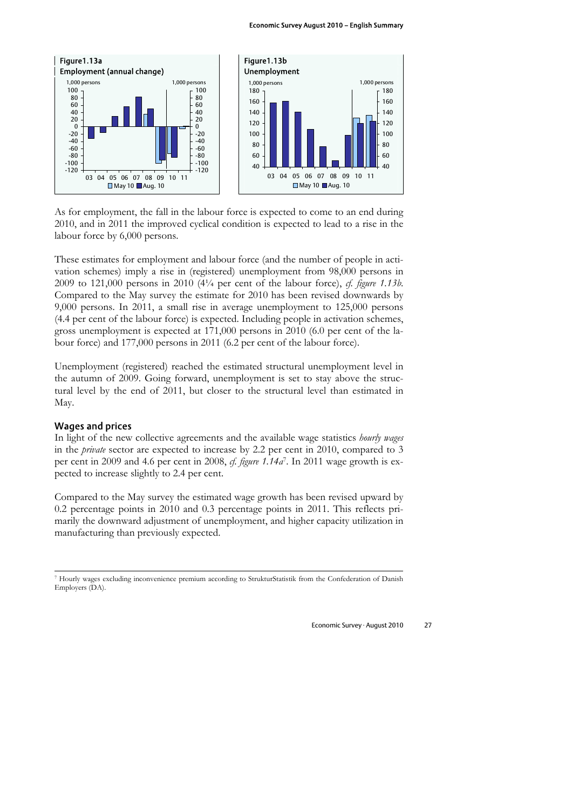#### Economic Survey August 2010 – English Summary



As for employment, the fall in the labour force is expected to come to an end during 2010, and in 2011 the improved cyclical condition is expected to lead to a rise in the labour force by 6,000 persons.

These estimates for employment and labour force (and the number of people in activation schemes) imply a rise in (registered) unemployment from 98,000 persons in 2009 to 121,000 persons in 2010 (4¼ per cent of the labour force), *cf. figure 1.13b*. Compared to the May survey the estimate for 2010 has been revised downwards by 9,000 persons. In 2011, a small rise in average unemployment to 125,000 persons (4.4 per cent of the labour force) is expected. Including people in activation schemes, gross unemployment is expected at 171,000 persons in 2010 (6.0 per cent of the labour force) and 177,000 persons in 2011 (6.2 per cent of the labour force).

Unemployment (registered) reached the estimated structural unemployment level in the autumn of 2009. Going forward, unemployment is set to stay above the structural level by the end of 2011, but closer to the structural level than estimated in May.

## Wages and prices

 $\overline{a}$ 

In light of the new collective agreements and the available wage statistics *hourly wages* in the *private* sector are expected to increase by 2.2 per cent in 2010, compared to 3 per cent in 2009 and 4.6 per cent in 2008, *cf. figure 1.14a*[7.](#page-20-0) In 2011 wage growth is expected to increase slightly to 2.4 per cent.

Compared to the May survey the estimated wage growth has been revised upward by 0.2 percentage points in 2010 and 0.3 percentage points in 2011. This reflects primarily the downward adjustment of unemployment, and higher capacity utilization in manufacturing than previously expected.

<span id="page-20-0"></span><sup>7</sup> Hourly wages excluding inconvenience premium according to StrukturStatistik from the Confederation of Danish Employers (DA).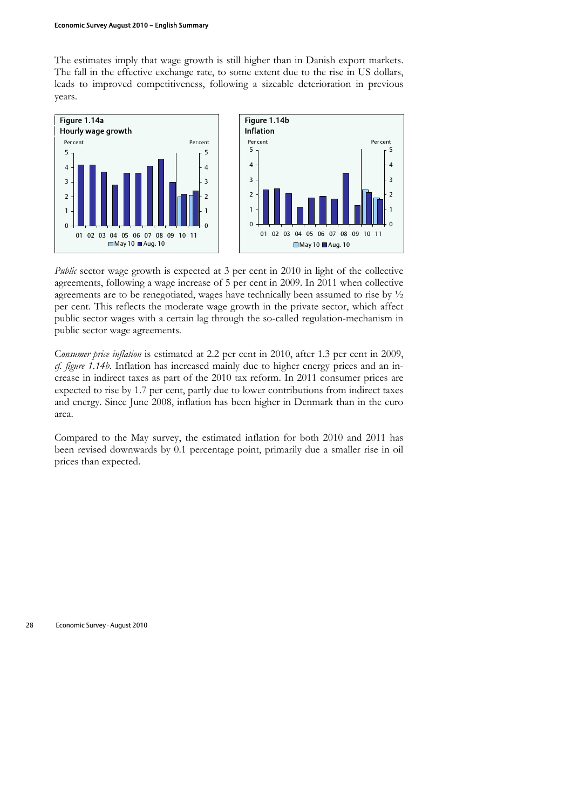The estimates imply that wage growth is still higher than in Danish export markets. The fall in the effective exchange rate, to some extent due to the rise in US dollars, leads to improved competitiveness, following a sizeable deterioration in previous years.



*Public* sector wage growth is expected at 3 per cent in 2010 in light of the collective agreements, following a wage increase of 5 per cent in 2009. In 2011 when collective agreements are to be renegotiated, wages have technically been assumed to rise by ½ per cent. This reflects the moderate wage growth in the private sector, which affect public sector wages with a certain lag through the so-called regulation-mechanism in public sector wage agreements.

C*onsumer price inflation* is estimated at 2.2 per cent in 2010, after 1.3 per cent in 2009, *cf. figure 1.14b*. Inflation has increased mainly due to higher energy prices and an increase in indirect taxes as part of the 2010 tax reform. In 2011 consumer prices are expected to rise by 1.7 per cent, partly due to lower contributions from indirect taxes and energy. Since June 2008, inflation has been higher in Denmark than in the euro area.

Compared to the May survey, the estimated inflation for both 2010 and 2011 has been revised downwards by 0.1 percentage point, primarily due a smaller rise in oil prices than expected.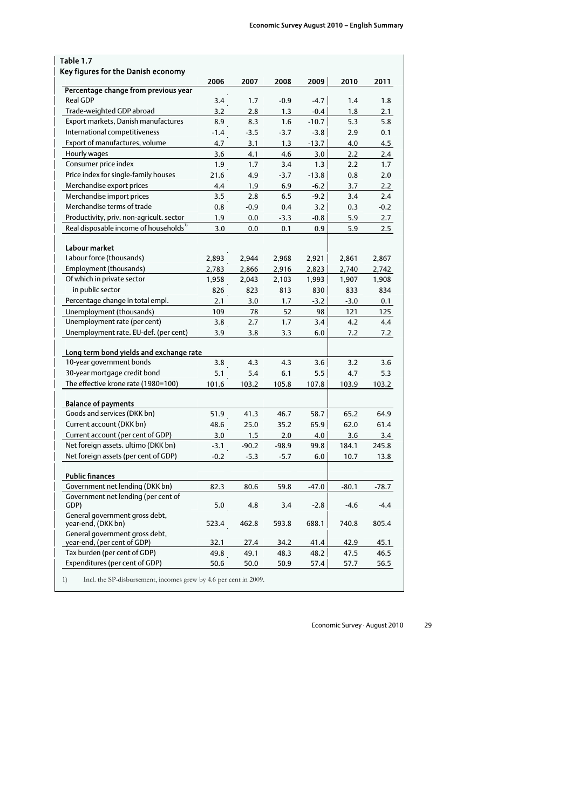| Key figures for the Danish economy                                                            |              |              |              |              |              |              |
|-----------------------------------------------------------------------------------------------|--------------|--------------|--------------|--------------|--------------|--------------|
| Percentage change from previous year                                                          | 2006         | 2007         | 2008         | 2009         | 2010         | 2011         |
| <b>Real GDP</b>                                                                               | 3.4          | 1.7          | $-0.9$       | $-4.7$       | 1.4          | 1.8          |
| Trade-weighted GDP abroad                                                                     | 3.2          | 2.8          | 1.3          | $-0.4$       | 1.8          | 2.1          |
| Export markets, Danish manufactures                                                           | 8.9          | 8.3          | 1.6          | $-10.7$      | 5.3          | 5.8          |
| International competitiveness                                                                 | $-1.4$       | $-3.5$       | $-3.7$       | $-3.8$       | 2.9          | 0.1          |
| Export of manufactures, volume                                                                | 4.7          | 3.1          | 1.3          | $-13.7$      | 4.0          | 4.5          |
| Hourly wages                                                                                  | 3.6          | 4.1          | 4.6          | 3.0          | 2.2          | 2.4          |
| Consumer price index                                                                          | 1.9          | 1.7          | 3.4          | 1.3          | 2.2          | 1.7          |
| Price index for single-family houses                                                          | 21.6         | 4.9          | $-3.7$       | $-13.8$      | 0.8          | 2.0          |
| Merchandise export prices                                                                     | 4.4          | 1.9          | 6.9          | $-6.2$       | 3.7          | 2.2          |
| Merchandise import prices                                                                     | 3.5          | 2.8          | 6.5          | $-9.2$       | 3.4          | 2.4          |
| Merchandise terms of trade                                                                    | 0.8          | $-0.9$       | 0.4          | 3.2          | 0.3          | $-0.2$       |
| Productivity, priv. non-agricult. sector                                                      | 1.9          | 0.0          | $-3.3$       | $-0.8$       | 5.9          | 2.7          |
| Real disposable income of households <sup>1)</sup>                                            | 3.0          | 0.0          | 0.1          | 0.9          | 5.9          | 2.5          |
| Labour market                                                                                 |              |              |              |              |              |              |
| Labour force (thousands)                                                                      | 2,893        | 2,944        | 2,968        | 2,921        | 2,861        | 2,867        |
| Employment (thousands)                                                                        | 2,783        | 2,866        | 2,916        | 2,823        | 2,740        | 2,742        |
| Of which in private sector                                                                    | 1,958        | 2,043        | 2,103        | 1,993        | 1,907        | 1,908        |
| in public sector                                                                              | 826          | 823          | 813          | 830          | 833          | 834          |
| Percentage change in total empl.                                                              | 2.1          | 3.0          | 1.7          | $-3.2$       | $-3.0$       | 0.1          |
| Unemployment (thousands)                                                                      | 109          | 78           | 52           | 98           | 121          | 125          |
| Unemployment rate (per cent)                                                                  | 3.8          | 2.7          | 1.7          | 3.4          | 4.2          | 4.4          |
| Unemployment rate. EU-def. (per cent)                                                         | 3.9          | 3.8          | 3.3          | 6.0          | 7.2          | 7.2          |
| Long term bond yields and exchange rate                                                       |              |              |              |              |              |              |
| 10-year government bonds                                                                      | 3.8          | 4.3          | 4.3          | 3.6          | 3.2          | 3.6          |
| 30-year mortgage credit bond                                                                  | 5.1          | 5.4          | 6.1          | 5.5          | 4.7          | 5.3          |
| The effective krone rate (1980=100)                                                           | 101.6        | 103.2        | 105.8        | 107.8        | 103.9        | 103.2        |
| <b>Balance of payments</b>                                                                    |              |              |              |              |              |              |
| Goods and services (DKK bn)                                                                   | 51.9         | 41.3         | 46.7         | 58.7         | 65.2         | 64.9         |
| Current account (DKK bn)                                                                      | 48.6         | 25.0         | 35.2         | 65.9         | 62.0         | 61.4         |
| Current account (per cent of GDP)                                                             | 3.0          | 1.5          | 2.0          | 4.0          | 3.6          | 3.4          |
| Net foreign assets. ultimo (DKK bn)                                                           | $-3.1$       | $-90.2$      | $-98.9$      | 99.8         | 184.1        | 245.8        |
| Net foreign assets (per cent of GDP)                                                          | $-0.2$       | $-5.3$       | $-5.7$       | 6.0          | 10.7         | 13.8         |
| <b>Public finances</b>                                                                        |              |              |              |              |              |              |
| Government net lending (DKK bn)                                                               | 82.3         | 80.6         | 59.8         | -47.0        | $-80.1$      | $-78.7$      |
| Government net lending (per cent of                                                           |              |              |              |              |              |              |
| GDP)<br>General government gross debt,                                                        | 5.0          | 4.8          | 3.4          | $-2.8$       | $-4.6$       | $-4.4$       |
| year-end, (DKK bn)                                                                            | 523.4        | 462.8        | 593.8        | 688.1        | 740.8        | 805.4        |
|                                                                                               |              |              |              |              |              |              |
|                                                                                               |              |              |              |              |              |              |
| General government gross debt,<br>year-end, (per cent of GDP)<br>Tax burden (per cent of GDP) | 32.1<br>49.8 | 27.4<br>49.1 | 34.2<br>48.3 | 41.4<br>48.2 | 42.9<br>47.5 | 45.1<br>46.5 |